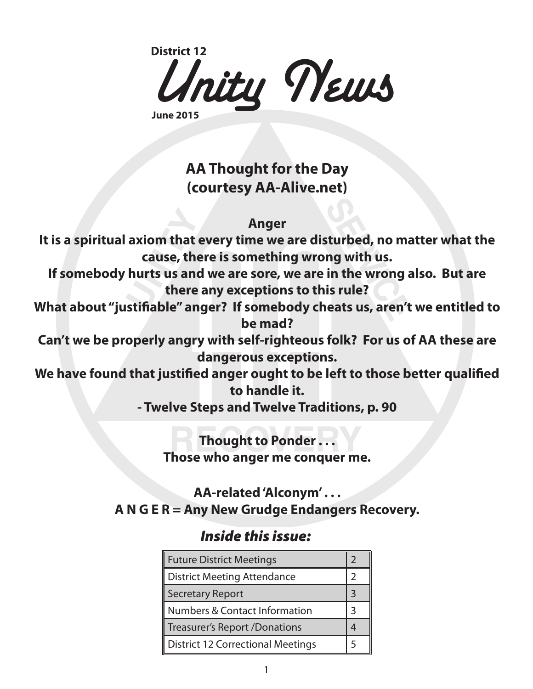

**June 2015**

## **AA Thought for the Day (courtesy AA-Alive.net)**

### **Anger**

**It is a spiritual axiom that every time we are disturbed, no matter what the cause, there is something wrong with us.**

**If somebody hurts us and we are sore, we are in the wrong also. But are there any exceptions to this rule?**

**What about "justifiable" anger? If somebody cheats us, aren't we entitled to be mad?**

**Can't we be properly angry with self-righteous folk? For us of AA these are dangerous exceptions.**

**We have found that justified anger ought to be left to those better qualified to handle it.**

**- Twelve Steps and Twelve Traditions, p. 90**

## **Thought to Ponder . . . Those who anger me conquer me.**

## **AA-related 'Alconym' . . . A N G E R = Any New Grudge Endangers Recovery.**

## *Inside this issue:*

| <b>Future District Meetings</b>    |  |  |
|------------------------------------|--|--|
| <b>District Meeting Attendance</b> |  |  |
| Secretary Report                   |  |  |
| Numbers & Contact Information      |  |  |
| Treasurer's Report /Donations      |  |  |
| District 12 Correctional Meetings  |  |  |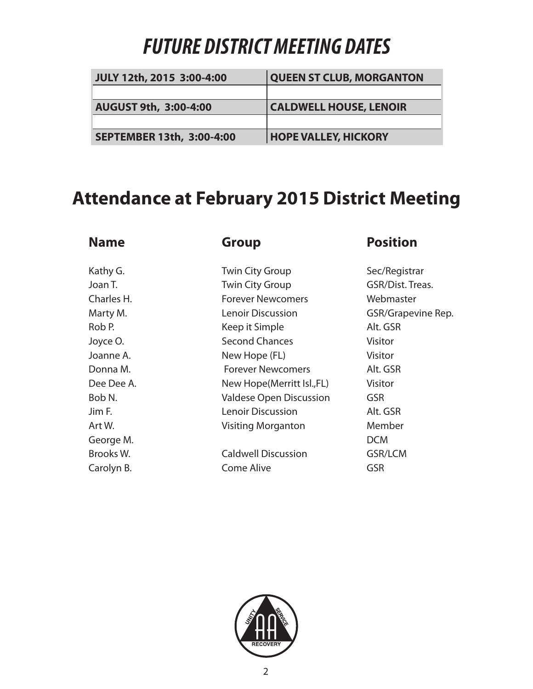# *FUTURE DISTRICT MEETING DATES*

| JULY 12th, 2015 3:00-4:00 | <b>QUEEN ST CLUB, MORGANTON</b> |  |
|---------------------------|---------------------------------|--|
|                           |                                 |  |
| AUGUST 9th, 3:00-4:00     | <b>CALDWELL HOUSE, LENOIR</b>   |  |
|                           |                                 |  |
| SEPTEMBER 13th, 3:00-4:00 | <b>HOPE VALLEY, HICKORY</b>     |  |

## **Attendance at February 2015 District Meeting**

### **Name Group Position** Kathy G. Twin City Group Sec/Registrar Joan T. **The City Group** GSR/Dist. Treas. Charles H. Forever Newcomers Webmaster Marty M. **Marty M.** Lenoir Discussion GSR/Grapevine Rep. Rob P. Note a Keep it Simple Alt. GSR Joyce O. **Second Chances** Visitor Joanne A. New Hope (FL) Visitor Donna M. **Example 20 Forever Newcomers** Alt. GSR Dee Dee A. New Hope(Merritt Isl., FL) Visitor Bob N. Valdese Open Discussion GSR Jim F. Lenoir Discussion Alt. GSR Art W. Nember Nisiting Morganton Member George M. DCM Brooks W. Caldwell Discussion GSR/LCM Carolyn B. Come Alive GSR

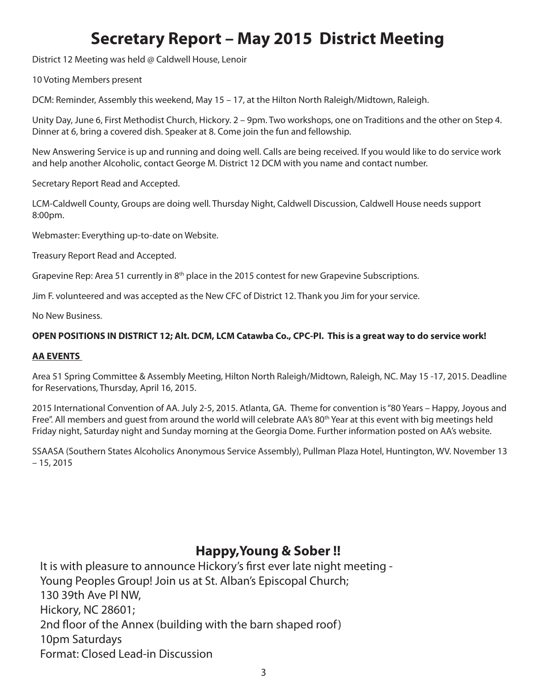## **Secretary Report – May 2015 District Meeting**

District 12 Meeting was held @ Caldwell House, Lenoir

10 Voting Members present

DCM: Reminder, Assembly this weekend, May 15 – 17, at the Hilton North Raleigh/Midtown, Raleigh.

Unity Day, June 6, First Methodist Church, Hickory. 2 – 9pm. Two workshops, one on Traditions and the other on Step 4. Dinner at 6, bring a covered dish. Speaker at 8. Come join the fun and fellowship.

New Answering Service is up and running and doing well. Calls are being received. If you would like to do service work and help another Alcoholic, contact George M. District 12 DCM with you name and contact number.

Secretary Report Read and Accepted.

LCM-Caldwell County, Groups are doing well. Thursday Night, Caldwell Discussion, Caldwell House needs support 8:00pm.

Webmaster: Everything up-to-date on Website.

Treasury Report Read and Accepted.

Grapevine Rep: Area 51 currently in  $8<sup>th</sup>$  place in the 2015 contest for new Grapevine Subscriptions.

Jim F. volunteered and was accepted as the New CFC of District 12. Thank you Jim for your service.

No New Business.

#### **OPEN POSITIONS IN DISTRICT 12; Alt. DCM, LCM Catawba Co., CPC-PI. This is a great way to do service work!**

#### **AA EVENTS**

Area 51 Spring Committee & Assembly Meeting, Hilton North Raleigh/Midtown, Raleigh, NC. May 15 -17, 2015. Deadline for Reservations, Thursday, April 16, 2015.

2015 International Convention of AA. July 2-5, 2015. Atlanta, GA. Theme for convention is "80 Years – Happy, Joyous and Free". All members and guest from around the world will celebrate AA's 80th Year at this event with big meetings held Friday night, Saturday night and Sunday morning at the Georgia Dome. Further information posted on AA's website.

SSAASA (Southern States Alcoholics Anonymous Service Assembly), Pullman Plaza Hotel, Huntington, WV. November 13  $-15, 2015$ 

## **Happy,Young & Sober !!**

It is with pleasure to announce Hickory's first ever late night meeting - Young Peoples Group! Join us at St. Alban's Episcopal Church; 130 39th Ave Pl NW, Hickory, NC 28601; 2nd floor of the Annex (building with the barn shaped roof) 10pm Saturdays Format: Closed Lead-in Discussion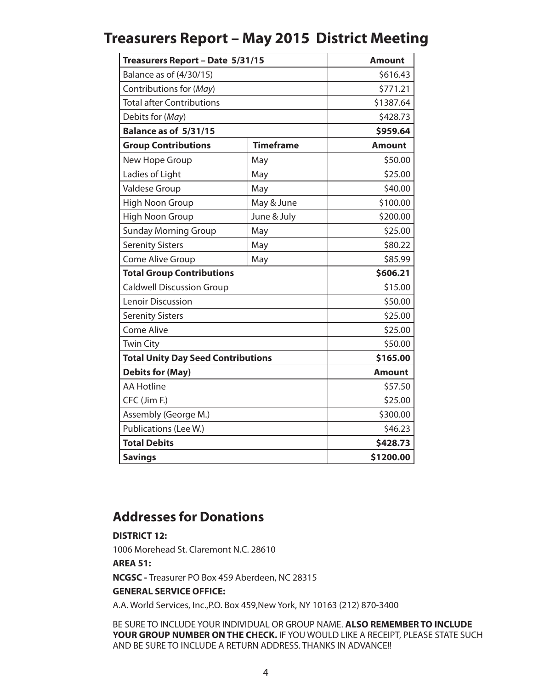## **Treasurers Report – May 2015 District Meeting**

| Treasurers Report - Date 5/31/15          |                  | <b>Amount</b> |
|-------------------------------------------|------------------|---------------|
| Balance as of (4/30/15)                   |                  | \$616.43      |
| Contributions for (May)                   |                  | \$771.21      |
| <b>Total after Contributions</b>          |                  | \$1387.64     |
| Debits for (May)                          |                  | \$428.73      |
| Balance as of 5/31/15                     |                  | \$959.64      |
| <b>Group Contributions</b>                | <b>Timeframe</b> | <b>Amount</b> |
| New Hope Group                            | May              | \$50.00       |
| Ladies of Light                           | May              | \$25.00       |
| Valdese Group                             | May              | \$40.00       |
| <b>High Noon Group</b>                    | May & June       | \$100.00      |
| <b>High Noon Group</b>                    | June & July      | \$200.00      |
| <b>Sunday Morning Group</b>               | May              | \$25.00       |
| <b>Serenity Sisters</b>                   | May              | \$80.22       |
| Come Alive Group                          | May              | \$85.99       |
| <b>Total Group Contributions</b>          |                  | \$606.21      |
| <b>Caldwell Discussion Group</b>          |                  | \$15.00       |
| <b>Lenoir Discussion</b>                  |                  | \$50.00       |
| <b>Serenity Sisters</b>                   |                  | \$25.00       |
| <b>Come Alive</b>                         |                  | \$25.00       |
| <b>Twin City</b>                          |                  | \$50.00       |
| <b>Total Unity Day Seed Contributions</b> |                  | \$165.00      |
| <b>Debits for (May)</b>                   |                  | <b>Amount</b> |
| <b>AA Hotline</b>                         |                  | \$57.50       |
| CFC (Jim F.)                              |                  | \$25.00       |
| Assembly (George M.)                      |                  | \$300.00      |
| Publications (Lee W.)                     |                  | \$46.23       |
| <b>Total Debits</b>                       |                  | \$428.73      |
| <b>Savings</b>                            |                  | \$1200.00     |

### **Addresses for Donations**

#### **DISTRICT 12:**

1006 Morehead St. Claremont N.C. 28610

#### **AREA 51:**

**NCGSC -** Treasurer PO Box 459 Aberdeen, NC 28315

#### **GENERAL SERVICE OFFICE:**

A.A. World Services, Inc.,P.O. Box 459,New York, NY 10163 (212) 870-3400

BE SURE TO INCLUDE YOUR INDIVIDUAL OR GROUP NAME. **ALSO REMEMBER TO INCLUDE YOUR GROUP NUMBER ON THE CHECK.** IF YOU WOULD LIKE A RECEIPT, PLEASE STATE SUCH AND BE SURE TO INCLUDE A RETURN ADDRESS. THANKS IN ADVANCE!!